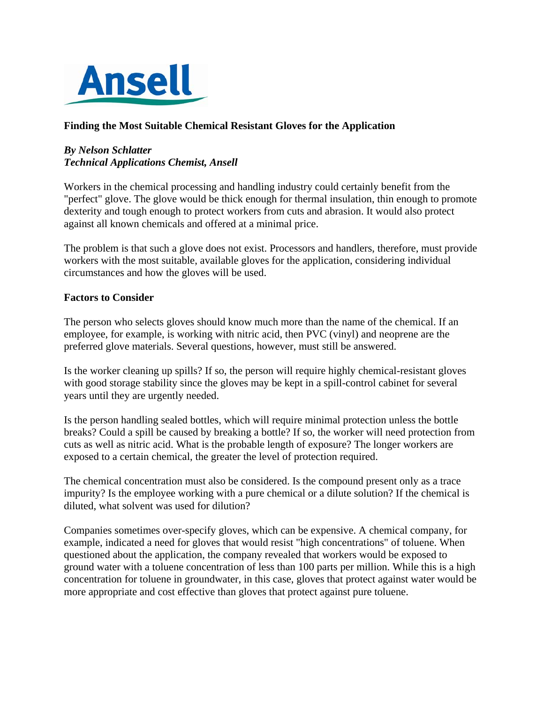

## **Finding the Most Suitable Chemical Resistant Gloves for the Application**

## *By Nelson Schlatter Technical Applications Chemist, Ansell*

Workers in the chemical processing and handling industry could certainly benefit from the "perfect" glove. The glove would be thick enough for thermal insulation, thin enough to promote dexterity and tough enough to protect workers from cuts and abrasion. It would also protect against all known chemicals and offered at a minimal price.

The problem is that such a glove does not exist. Processors and handlers, therefore, must provide workers with the most suitable, available gloves for the application, considering individual circumstances and how the gloves will be used.

### **Factors to Consider**

The person who selects gloves should know much more than the name of the chemical. If an employee, for example, is working with nitric acid, then PVC (vinyl) and neoprene are the preferred glove materials. Several questions, however, must still be answered.

Is the worker cleaning up spills? If so, the person will require highly chemical-resistant gloves with good storage stability since the gloves may be kept in a spill-control cabinet for several years until they are urgently needed.

Is the person handling sealed bottles, which will require minimal protection unless the bottle breaks? Could a spill be caused by breaking a bottle? If so, the worker will need protection from cuts as well as nitric acid. What is the probable length of exposure? The longer workers are exposed to a certain chemical, the greater the level of protection required.

The chemical concentration must also be considered. Is the compound present only as a trace impurity? Is the employee working with a pure chemical or a dilute solution? If the chemical is diluted, what solvent was used for dilution?

Companies sometimes over-specify gloves, which can be expensive. A chemical company, for example, indicated a need for gloves that would resist "high concentrations" of toluene. When questioned about the application, the company revealed that workers would be exposed to ground water with a toluene concentration of less than 100 parts per million. While this is a high concentration for toluene in groundwater, in this case, gloves that protect against water would be more appropriate and cost effective than gloves that protect against pure toluene.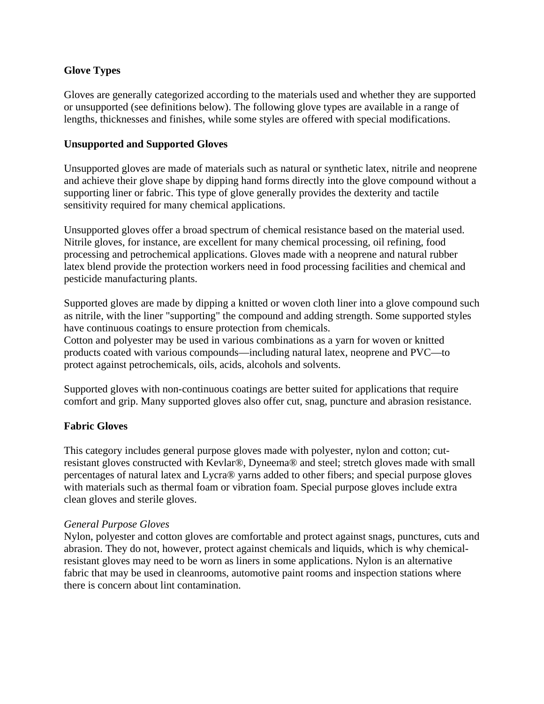## **Glove Types**

Gloves are generally categorized according to the materials used and whether they are supported or unsupported (see definitions below). The following glove types are available in a range of lengths, thicknesses and finishes, while some styles are offered with special modifications.

## **Unsupported and Supported Gloves**

Unsupported gloves are made of materials such as natural or synthetic latex, nitrile and neoprene and achieve their glove shape by dipping hand forms directly into the glove compound without a supporting liner or fabric. This type of glove generally provides the dexterity and tactile sensitivity required for many chemical applications.

Unsupported gloves offer a broad spectrum of chemical resistance based on the material used. Nitrile gloves, for instance, are excellent for many chemical processing, oil refining, food processing and petrochemical applications. Gloves made with a neoprene and natural rubber latex blend provide the protection workers need in food processing facilities and chemical and pesticide manufacturing plants.

Supported gloves are made by dipping a knitted or woven cloth liner into a glove compound such as nitrile, with the liner "supporting" the compound and adding strength. Some supported styles have continuous coatings to ensure protection from chemicals.

Cotton and polyester may be used in various combinations as a yarn for woven or knitted products coated with various compounds—including natural latex, neoprene and PVC—to protect against petrochemicals, oils, acids, alcohols and solvents.

Supported gloves with non-continuous coatings are better suited for applications that require comfort and grip. Many supported gloves also offer cut, snag, puncture and abrasion resistance.

# **Fabric Gloves**

This category includes general purpose gloves made with polyester, nylon and cotton; cutresistant gloves constructed with Kevlar®, Dyneema® and steel; stretch gloves made with small percentages of natural latex and Lycra® yarns added to other fibers; and special purpose gloves with materials such as thermal foam or vibration foam. Special purpose gloves include extra clean gloves and sterile gloves.

### *General Purpose Gloves*

Nylon, polyester and cotton gloves are comfortable and protect against snags, punctures, cuts and abrasion. They do not, however, protect against chemicals and liquids, which is why chemicalresistant gloves may need to be worn as liners in some applications. Nylon is an alternative fabric that may be used in cleanrooms, automotive paint rooms and inspection stations where there is concern about lint contamination.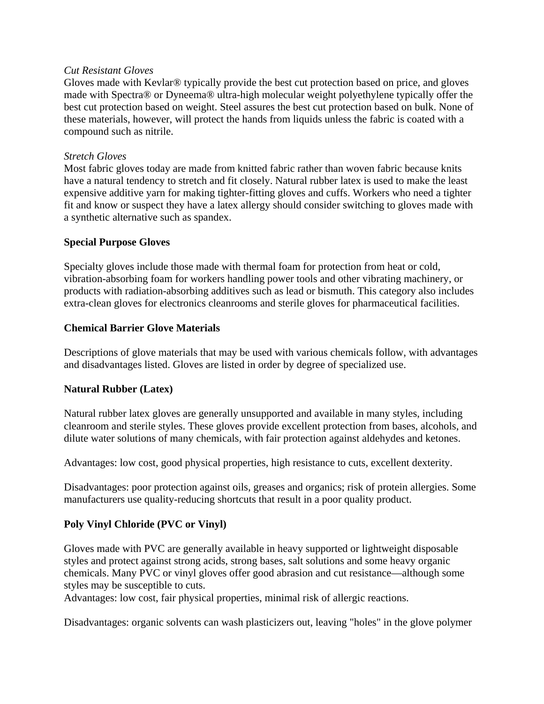### *Cut Resistant Gloves*

Gloves made with Kevlar® typically provide the best cut protection based on price, and gloves made with Spectra® or Dyneema® ultra-high molecular weight polyethylene typically offer the best cut protection based on weight. Steel assures the best cut protection based on bulk. None of these materials, however, will protect the hands from liquids unless the fabric is coated with a compound such as nitrile.

## *Stretch Gloves*

Most fabric gloves today are made from knitted fabric rather than woven fabric because knits have a natural tendency to stretch and fit closely. Natural rubber latex is used to make the least expensive additive yarn for making tighter-fitting gloves and cuffs. Workers who need a tighter fit and know or suspect they have a latex allergy should consider switching to gloves made with a synthetic alternative such as spandex.

## **Special Purpose Gloves**

Specialty gloves include those made with thermal foam for protection from heat or cold, vibration-absorbing foam for workers handling power tools and other vibrating machinery, or products with radiation-absorbing additives such as lead or bismuth. This category also includes extra-clean gloves for electronics cleanrooms and sterile gloves for pharmaceutical facilities.

## **Chemical Barrier Glove Materials**

Descriptions of glove materials that may be used with various chemicals follow, with advantages and disadvantages listed. Gloves are listed in order by degree of specialized use.

# **Natural Rubber (Latex)**

Natural rubber latex gloves are generally unsupported and available in many styles, including cleanroom and sterile styles. These gloves provide excellent protection from bases, alcohols, and dilute water solutions of many chemicals, with fair protection against aldehydes and ketones.

Advantages: low cost, good physical properties, high resistance to cuts, excellent dexterity.

Disadvantages: poor protection against oils, greases and organics; risk of protein allergies. Some manufacturers use quality-reducing shortcuts that result in a poor quality product.

# **Poly Vinyl Chloride (PVC or Vinyl)**

Gloves made with PVC are generally available in heavy supported or lightweight disposable styles and protect against strong acids, strong bases, salt solutions and some heavy organic chemicals. Many PVC or vinyl gloves offer good abrasion and cut resistance—although some styles may be susceptible to cuts.

Advantages: low cost, fair physical properties, minimal risk of allergic reactions.

Disadvantages: organic solvents can wash plasticizers out, leaving "holes" in the glove polymer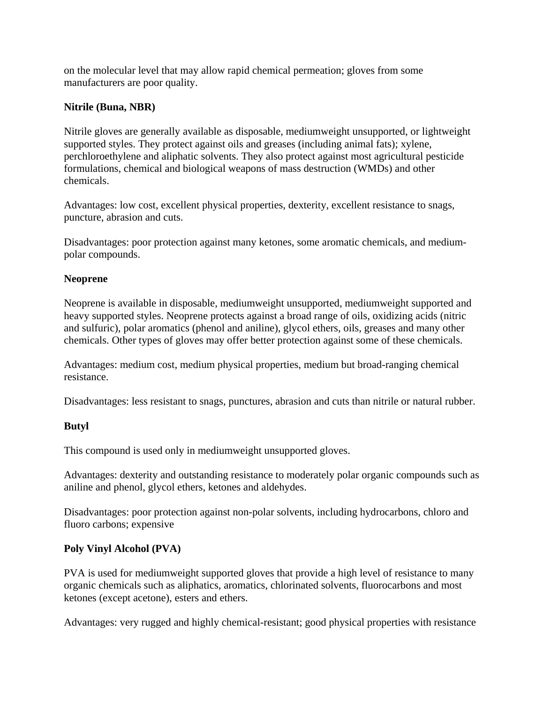on the molecular level that may allow rapid chemical permeation; gloves from some manufacturers are poor quality.

## **Nitrile (Buna, NBR)**

Nitrile gloves are generally available as disposable, mediumweight unsupported, or lightweight supported styles. They protect against oils and greases (including animal fats); xylene, perchloroethylene and aliphatic solvents. They also protect against most agricultural pesticide formulations, chemical and biological weapons of mass destruction (WMDs) and other chemicals.

Advantages: low cost, excellent physical properties, dexterity, excellent resistance to snags, puncture, abrasion and cuts.

Disadvantages: poor protection against many ketones, some aromatic chemicals, and mediumpolar compounds.

## **Neoprene**

Neoprene is available in disposable, mediumweight unsupported, mediumweight supported and heavy supported styles. Neoprene protects against a broad range of oils, oxidizing acids (nitric and sulfuric), polar aromatics (phenol and aniline), glycol ethers, oils, greases and many other chemicals. Other types of gloves may offer better protection against some of these chemicals.

Advantages: medium cost, medium physical properties, medium but broad-ranging chemical resistance.

Disadvantages: less resistant to snags, punctures, abrasion and cuts than nitrile or natural rubber.

# **Butyl**

This compound is used only in mediumweight unsupported gloves.

Advantages: dexterity and outstanding resistance to moderately polar organic compounds such as aniline and phenol, glycol ethers, ketones and aldehydes.

Disadvantages: poor protection against non-polar solvents, including hydrocarbons, chloro and fluoro carbons; expensive

### **Poly Vinyl Alcohol (PVA)**

PVA is used for mediumweight supported gloves that provide a high level of resistance to many organic chemicals such as aliphatics, aromatics, chlorinated solvents, fluorocarbons and most ketones (except acetone), esters and ethers.

Advantages: very rugged and highly chemical-resistant; good physical properties with resistance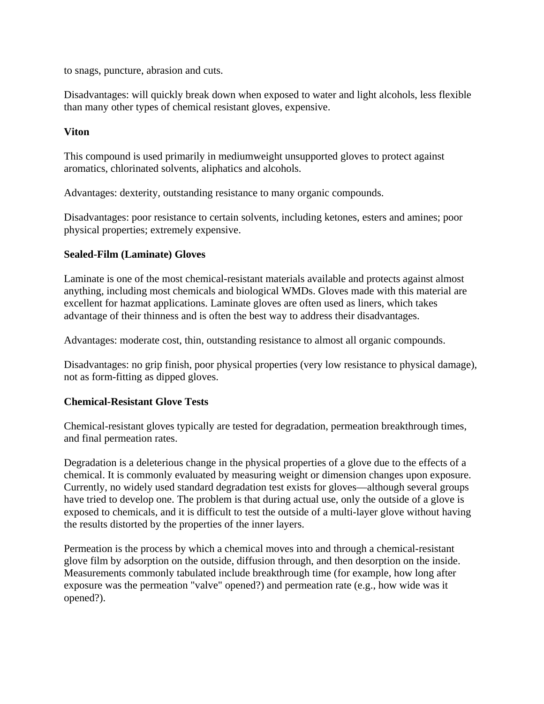to snags, puncture, abrasion and cuts.

Disadvantages: will quickly break down when exposed to water and light alcohols, less flexible than many other types of chemical resistant gloves, expensive.

## **Viton**

This compound is used primarily in mediumweight unsupported gloves to protect against aromatics, chlorinated solvents, aliphatics and alcohols.

Advantages: dexterity, outstanding resistance to many organic compounds.

Disadvantages: poor resistance to certain solvents, including ketones, esters and amines; poor physical properties; extremely expensive.

## **Sealed-Film (Laminate) Gloves**

Laminate is one of the most chemical-resistant materials available and protects against almost anything, including most chemicals and biological WMDs. Gloves made with this material are excellent for hazmat applications. Laminate gloves are often used as liners, which takes advantage of their thinness and is often the best way to address their disadvantages.

Advantages: moderate cost, thin, outstanding resistance to almost all organic compounds.

Disadvantages: no grip finish, poor physical properties (very low resistance to physical damage), not as form-fitting as dipped gloves.

### **Chemical-Resistant Glove Tests**

Chemical-resistant gloves typically are tested for degradation, permeation breakthrough times, and final permeation rates.

Degradation is a deleterious change in the physical properties of a glove due to the effects of a chemical. It is commonly evaluated by measuring weight or dimension changes upon exposure. Currently, no widely used standard degradation test exists for gloves—although several groups have tried to develop one. The problem is that during actual use, only the outside of a glove is exposed to chemicals, and it is difficult to test the outside of a multi-layer glove without having the results distorted by the properties of the inner layers.

Permeation is the process by which a chemical moves into and through a chemical-resistant glove film by adsorption on the outside, diffusion through, and then desorption on the inside. Measurements commonly tabulated include breakthrough time (for example, how long after exposure was the permeation "valve" opened?) and permeation rate (e.g., how wide was it opened?).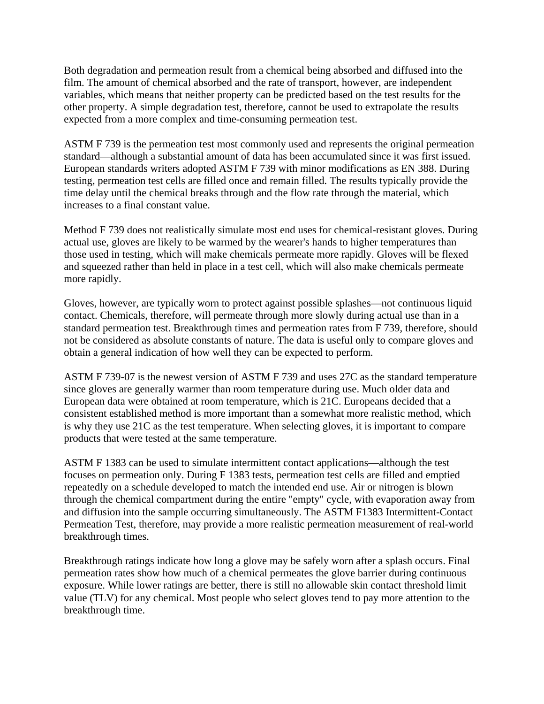Both degradation and permeation result from a chemical being absorbed and diffused into the film. The amount of chemical absorbed and the rate of transport, however, are independent variables, which means that neither property can be predicted based on the test results for the other property. A simple degradation test, therefore, cannot be used to extrapolate the results expected from a more complex and time-consuming permeation test.

ASTM F 739 is the permeation test most commonly used and represents the original permeation standard—although a substantial amount of data has been accumulated since it was first issued. European standards writers adopted ASTM F 739 with minor modifications as EN 388. During testing, permeation test cells are filled once and remain filled. The results typically provide the time delay until the chemical breaks through and the flow rate through the material, which increases to a final constant value.

Method F 739 does not realistically simulate most end uses for chemical-resistant gloves. During actual use, gloves are likely to be warmed by the wearer's hands to higher temperatures than those used in testing, which will make chemicals permeate more rapidly. Gloves will be flexed and squeezed rather than held in place in a test cell, which will also make chemicals permeate more rapidly.

Gloves, however, are typically worn to protect against possible splashes—not continuous liquid contact. Chemicals, therefore, will permeate through more slowly during actual use than in a standard permeation test. Breakthrough times and permeation rates from F 739, therefore, should not be considered as absolute constants of nature. The data is useful only to compare gloves and obtain a general indication of how well they can be expected to perform.

ASTM F 739-07 is the newest version of ASTM F 739 and uses 27C as the standard temperature since gloves are generally warmer than room temperature during use. Much older data and European data were obtained at room temperature, which is 21C. Europeans decided that a consistent established method is more important than a somewhat more realistic method, which is why they use 21C as the test temperature. When selecting gloves, it is important to compare products that were tested at the same temperature.

ASTM F 1383 can be used to simulate intermittent contact applications—although the test focuses on permeation only. During F 1383 tests, permeation test cells are filled and emptied repeatedly on a schedule developed to match the intended end use. Air or nitrogen is blown through the chemical compartment during the entire "empty" cycle, with evaporation away from and diffusion into the sample occurring simultaneously. The ASTM F1383 Intermittent-Contact Permeation Test, therefore, may provide a more realistic permeation measurement of real-world breakthrough times.

Breakthrough ratings indicate how long a glove may be safely worn after a splash occurs. Final permeation rates show how much of a chemical permeates the glove barrier during continuous exposure. While lower ratings are better, there is still no allowable skin contact threshold limit value (TLV) for any chemical. Most people who select gloves tend to pay more attention to the breakthrough time.